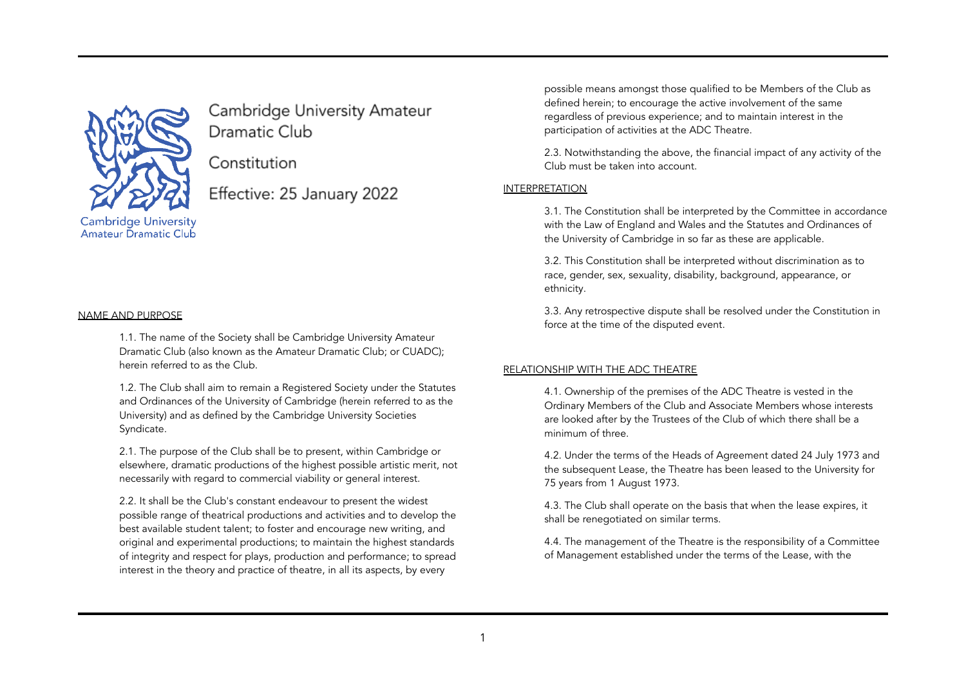

Cambridge University Amateur Dramatic Club

Constitution

Effective: 25 January 2022

#### NAME AND PURPOSE

1.1. The name of the Society shall be Cambridge University Amateur Dramatic Club (also known as the Amateur Dramatic Club; or CUADC); herein referred to as the Club.

1.2. The Club shall aim to remain a Registered Society under the Statutes and Ordinances of the University of Cambridge (herein referred to as the University) and as defined by the Cambridge University Societies Syndicate.

2.1. The purpose of the Club shall be to present, within Cambridge or elsewhere, dramatic productions of the highest possible artistic merit, not necessarily with regard to commercial viability or general interest.

2.2. It shall be the Club's constant endeavour to present the widest possible range of theatrical productions and activities and to develop the best available student talent; to foster and encourage new writing, and original and experimental productions; to maintain the highest standards of integrity and respect for plays, production and performance; to spread interest in the theory and practice of theatre, in all its aspects, by every

possible means amongst those qualified to be Members of the Club as defined herein; to encourage the active involvement of the same regardless of previous experience; and to maintain interest in the participation of activities at the ADC Theatre.

2.3. Notwithstanding the above, the financial impact of any activity of the Club must be taken into account.

## INTERPRETATION

3.1. The Constitution shall be interpreted by the Committee in accordance with the Law of England and Wales and the Statutes and Ordinances of the University of Cambridge in so far as these are applicable.

3.2. This Constitution shall be interpreted without discrimination as to race, gender, sex, sexuality, disability, background, appearance, or ethnicity.

3.3. Any retrospective dispute shall be resolved under the Constitution in force at the time of the disputed event.

#### RELATIONSHIP WITH THE ADC THEATRE

4.1. Ownership of the premises of the ADC Theatre is vested in the Ordinary Members of the Club and Associate Members whose interests are looked after by the Trustees of the Club of which there shall be a minimum of three.

4.2. Under the terms of the Heads of Agreement dated 24 July 1973 and the subsequent Lease, the Theatre has been leased to the University for 75 years from 1 August 1973.

4.3. The Club shall operate on the basis that when the lease expires, it shall be renegotiated on similar terms.

4.4. The management of the Theatre is the responsibility of a Committee of Management established under the terms of the Lease, with the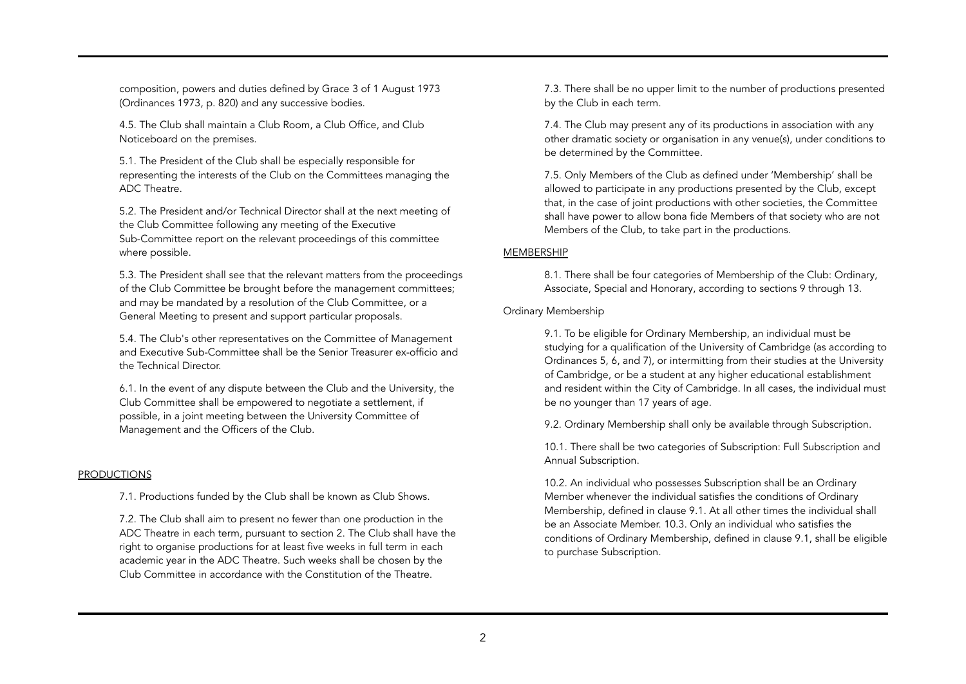composition, powers and duties defined by Grace 3 of 1 August 1973 (Ordinances 1973, p. 820) and any successive bodies.

4.5. The Club shall maintain a Club Room, a Club Office, and Club Noticeboard on the premises.

5.1. The President of the Club shall be especially responsible for representing the interests of the Club on the Committees managing the ADC Theatre.

5.2. The President and/or Technical Director shall at the next meeting of the Club Committee following any meeting of the Executive Sub-Committee report on the relevant proceedings of this committee where possible.

5.3. The President shall see that the relevant matters from the proceedings of the Club Committee be brought before the management committees; and may be mandated by a resolution of the Club Committee, or a General Meeting to present and support particular proposals.

5.4. The Club's other representatives on the Committee of Management and Executive Sub-Committee shall be the Senior Treasurer ex-officio and the Technical Director.

6.1. In the event of any dispute between the Club and the University, the Club Committee shall be empowered to negotiate a settlement, if possible, in a joint meeting between the University Committee of Management and the Officers of the Club.

## **PRODUCTIONS**

7.1. Productions funded by the Club shall be known as Club Shows.

7.2. The Club shall aim to present no fewer than one production in the ADC Theatre in each term, pursuant to section 2. The Club shall have the right to organise productions for at least five weeks in full term in each academic year in the ADC Theatre. Such weeks shall be chosen by the Club Committee in accordance with the Constitution of the Theatre.

7.3. There shall be no upper limit to the number of productions presented by the Club in each term.

7.4. The Club may present any of its productions in association with any other dramatic society or organisation in any venue(s), under conditions to be determined by the Committee.

7.5. Only Members of the Club as defined under 'Membership' shall be allowed to participate in any productions presented by the Club, except that, in the case of joint productions with other societies, the Committee shall have power to allow bona fide Members of that society who are not Members of the Club, to take part in the productions.

### MEMBERSHIP

8.1. There shall be four categories of Membership of the Club: Ordinary, Associate, Special and Honorary, according to sections 9 through 13.

### Ordinary Membership

9.1. To be eligible for Ordinary Membership, an individual must be studying for a qualification of the University of Cambridge (as according to Ordinances 5, 6, and 7), or intermitting from their studies at the University of Cambridge, or be a student at any higher educational establishment and resident within the City of Cambridge. In all cases, the individual must be no younger than 17 years of age.

9.2. Ordinary Membership shall only be available through Subscription.

10.1. There shall be two categories of Subscription: Full Subscription and Annual Subscription.

10.2. An individual who possesses Subscription shall be an Ordinary Member whenever the individual satisfies the conditions of Ordinary Membership, defined in clause 9.1. At all other times the individual shall be an Associate Member. 10.3. Only an individual who satisfies the conditions of Ordinary Membership, defined in clause 9.1, shall be eligible to purchase Subscription.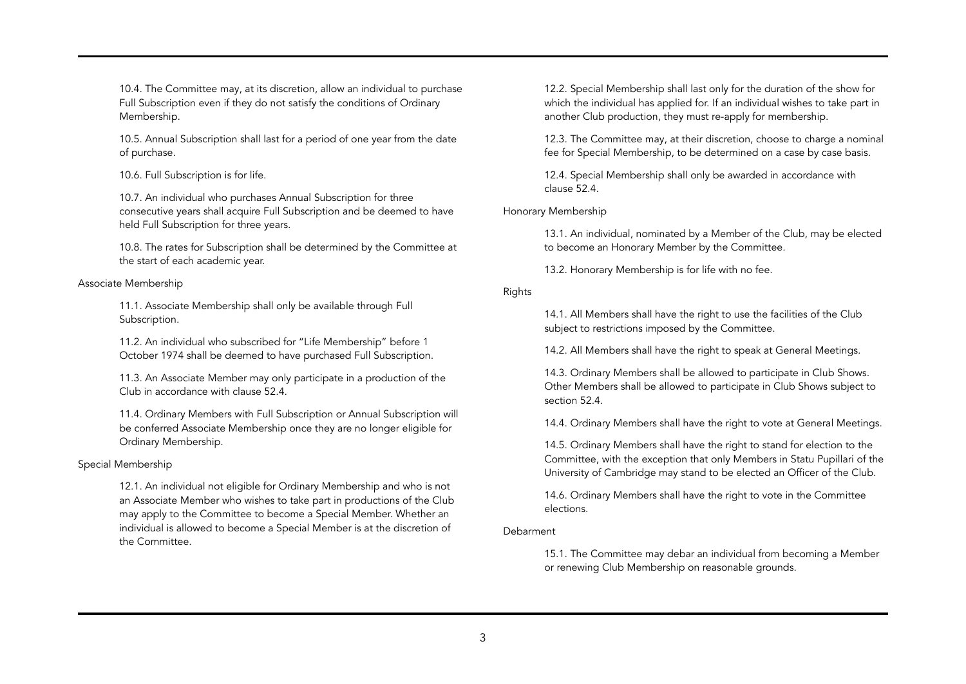10.4. The Committee may, at its discretion, allow an individual to purchase Full Subscription even if they do not satisfy the conditions of Ordinary Membership.

10.5. Annual Subscription shall last for a period of one year from the date of purchase.

10.6. Full Subscription is for life.

10.7. An individual who purchases Annual Subscription for three consecutive years shall acquire Full Subscription and be deemed to have held Full Subscription for three years.

10.8. The rates for Subscription shall be determined by the Committee at the start of each academic year.

### Associate Membership

11.1. Associate Membership shall only be available through Full Subscription.

11.2. An individual who subscribed for "Life Membership" before 1 October 1974 shall be deemed to have purchased Full Subscription.

11.3. An Associate Member may only participate in a production of the Club in accordance with clause 52.4.

11.4. Ordinary Members with Full Subscription or Annual Subscription will be conferred Associate Membership once they are no longer eligible for Ordinary Membership.

Special Membership

12.1. An individual not eligible for Ordinary Membership and who is not an Associate Member who wishes to take part in productions of the Club may apply to the Committee to become a Special Member. Whether an individual is allowed to become a Special Member is at the discretion of the Committee.

12.2. Special Membership shall last only for the duration of the show for which the individual has applied for. If an individual wishes to take part in another Club production, they must re-apply for membership.

12.3. The Committee may, at their discretion, choose to charge a nominal fee for Special Membership, to be determined on a case by case basis.

12.4. Special Membership shall only be awarded in accordance with clause 52.4.

Honorary Membership

13.1. An individual, nominated by a Member of the Club, may be elected to become an Honorary Member by the Committee.

13.2. Honorary Membership is for life with no fee.

## Rights

14.1. All Members shall have the right to use the facilities of the Club subject to restrictions imposed by the Committee.

14.2. All Members shall have the right to speak at General Meetings.

14.3. Ordinary Members shall be allowed to participate in Club Shows. Other Members shall be allowed to participate in Club Shows subject to section 52.4.

14.4. Ordinary Members shall have the right to vote at General Meetings.

14.5. Ordinary Members shall have the right to stand for election to the Committee, with the exception that only Members in Statu Pupillari of the University of Cambridge may stand to be elected an Officer of the Club.

14.6. Ordinary Members shall have the right to vote in the Committee elections.

## Debarment

15.1. The Committee may debar an individual from becoming a Member or renewing Club Membership on reasonable grounds.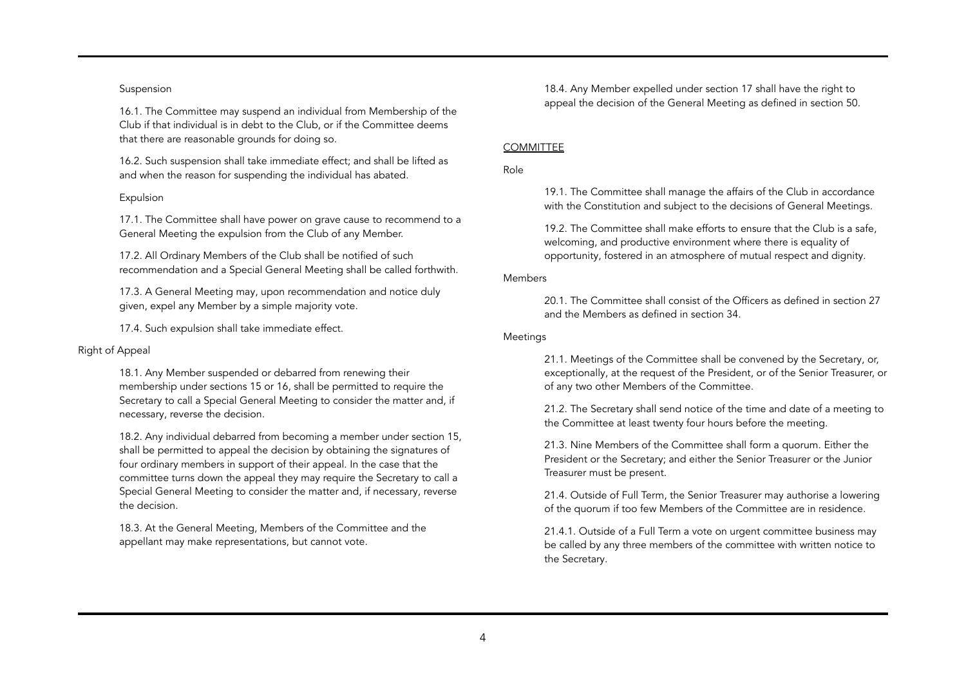### Suspension

16.1. The Committee may suspend an individual from Membership of the Club if that individual is in debt to the Club, or if the Committee deems that there are reasonable grounds for doing so.

16.2. Such suspension shall take immediate effect; and shall be lifted as and when the reason for suspending the individual has abated.

## Expulsion

17.1. The Committee shall have power on grave cause to recommend to a General Meeting the expulsion from the Club of any Member.

17.2. All Ordinary Members of the Club shall be notified of such recommendation and a Special General Meeting shall be called forthwith.

17.3. A General Meeting may, upon recommendation and notice duly given, expel any Member by a simple majority vote.

17.4. Such expulsion shall take immediate effect.

### Right of Appeal

18.1. Any Member suspended or debarred from renewing their membership under sections 15 or 16, shall be permitted to require the Secretary to call a Special General Meeting to consider the matter and, if necessary, reverse the decision.

18.2. Any individual debarred from becoming a member under section 15, shall be permitted to appeal the decision by obtaining the signatures of four ordinary members in support of their appeal. In the case that the committee turns down the appeal they may require the Secretary to call a Special General Meeting to consider the matter and, if necessary, reverse the decision.

18.3. At the General Meeting, Members of the Committee and the appellant may make representations, but cannot vote.

18.4. Any Member expelled under section 17 shall have the right to appeal the decision of the General Meeting as defined in section 50.

### **COMMITTEE**

Role

19.1. The Committee shall manage the affairs of the Club in accordance with the Constitution and subject to the decisions of General Meetings.

19.2. The Committee shall make efforts to ensure that the Club is a safe, welcoming, and productive environment where there is equality of opportunity, fostered in an atmosphere of mutual respect and dignity.

#### Members

20.1. The Committee shall consist of the Officers as defined in section 27 and the Members as defined in section 34.

### **Meetings**

21.1. Meetings of the Committee shall be convened by the Secretary, or, exceptionally, at the request of the President, or of the Senior Treasurer, or of any two other Members of the Committee.

21.2. The Secretary shall send notice of the time and date of a meeting to the Committee at least twenty four hours before the meeting.

21.3. Nine Members of the Committee shall form a quorum. Either the President or the Secretary; and either the Senior Treasurer or the Junior Treasurer must be present.

21.4. Outside of Full Term, the Senior Treasurer may authorise a lowering of the quorum if too few Members of the Committee are in residence.

21.4.1. Outside of a Full Term a vote on urgent committee business may be called by any three members of the committee with written notice to the Secretary.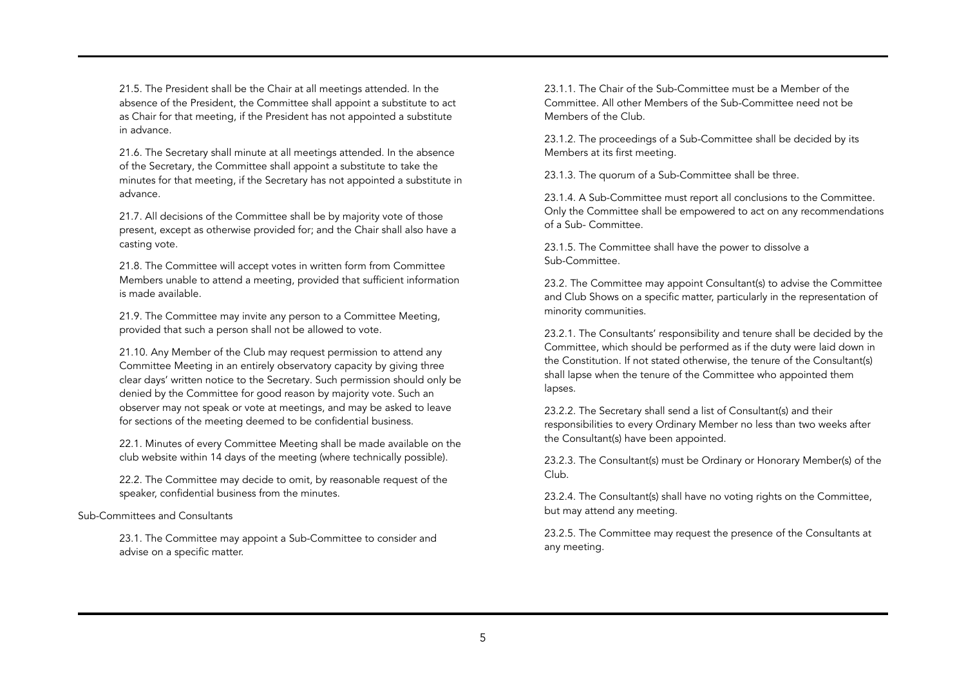21.5. The President shall be the Chair at all meetings attended. In the absence of the President, the Committee shall appoint a substitute to act as Chair for that meeting, if the President has not appointed a substitute in advance.

21.6. The Secretary shall minute at all meetings attended. In the absence of the Secretary, the Committee shall appoint a substitute to take the minutes for that meeting, if the Secretary has not appointed a substitute in advance.

21.7. All decisions of the Committee shall be by majority vote of those present, except as otherwise provided for; and the Chair shall also have a casting vote.

21.8. The Committee will accept votes in written form from Committee Members unable to attend a meeting, provided that sufficient information is made available.

21.9. The Committee may invite any person to a Committee Meeting, provided that such a person shall not be allowed to vote.

21.10. Any Member of the Club may request permission to attend any Committee Meeting in an entirely observatory capacity by giving three clear days' written notice to the Secretary. Such permission should only be denied by the Committee for good reason by majority vote. Such an observer may not speak or vote at meetings, and may be asked to leave for sections of the meeting deemed to be confidential business.

22.1. Minutes of every Committee Meeting shall be made available on the club website within 14 days of the meeting (where technically possible).

22.2. The Committee may decide to omit, by reasonable request of the speaker, confidential business from the minutes.

Sub-Committees and Consultants

23.1. The Committee may appoint a Sub-Committee to consider and advise on a specific matter.

23.1.1. The Chair of the Sub-Committee must be a Member of the Committee. All other Members of the Sub-Committee need not be Members of the Club.

23.1.2. The proceedings of a Sub-Committee shall be decided by its Members at its first meeting.

23.1.3. The quorum of a Sub-Committee shall be three.

23.1.4. A Sub-Committee must report all conclusions to the Committee. Only the Committee shall be empowered to act on any recommendations of a Sub- Committee.

23.1.5. The Committee shall have the power to dissolve a Sub-Committee.

23.2. The Committee may appoint Consultant(s) to advise the Committee and Club Shows on a specific matter, particularly in the representation of minority communities.

23.2.1. The Consultants' responsibility and tenure shall be decided by the Committee, which should be performed as if the duty were laid down in the Constitution. If not stated otherwise, the tenure of the Consultant(s) shall lapse when the tenure of the Committee who appointed them lapses.

23.2.2. The Secretary shall send a list of Consultant(s) and their responsibilities to every Ordinary Member no less than two weeks after the Consultant(s) have been appointed.

23.2.3. The Consultant(s) must be Ordinary or Honorary Member(s) of the Club.

23.2.4. The Consultant(s) shall have no voting rights on the Committee, but may attend any meeting.

23.2.5. The Committee may request the presence of the Consultants at any meeting.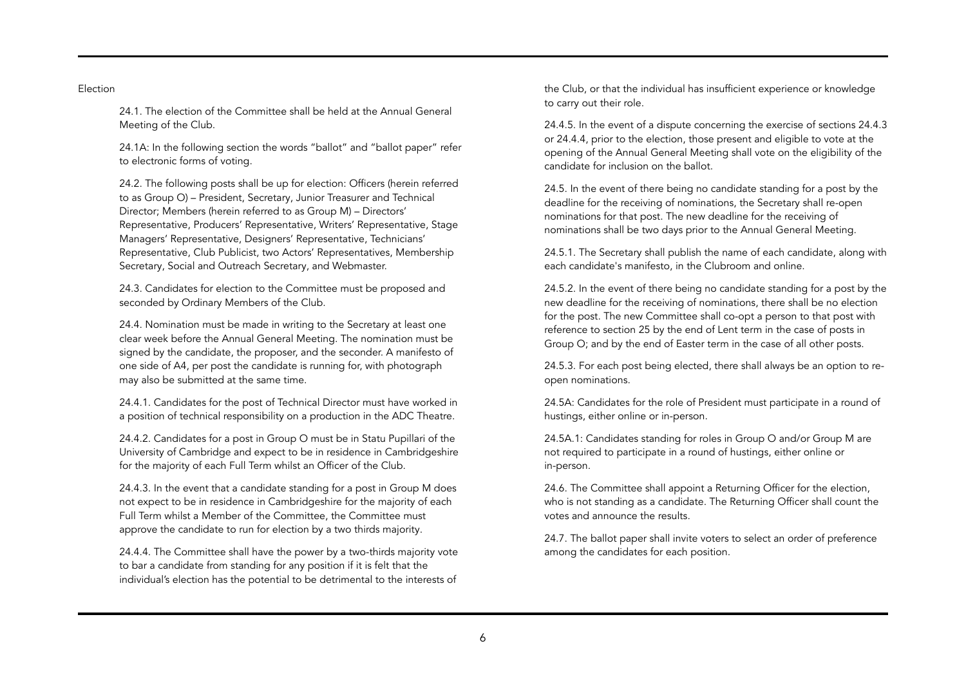### Election

24.1. The election of the Committee shall be held at the Annual General Meeting of the Club.

24.1A: In the following section the words "ballot" and "ballot paper" refer to electronic forms of voting.

24.2. The following posts shall be up for election: Officers (herein referred to as Group O) – President, Secretary, Junior Treasurer and Technical Director; Members (herein referred to as Group M) – Directors' Representative, Producers' Representative, Writers' Representative, Stage Managers' Representative, Designers' Representative, Technicians' Representative, Club Publicist, two Actors' Representatives, Membership Secretary, Social and Outreach Secretary, and Webmaster.

24.3. Candidates for election to the Committee must be proposed and seconded by Ordinary Members of the Club.

24.4. Nomination must be made in writing to the Secretary at least one clear week before the Annual General Meeting. The nomination must be signed by the candidate, the proposer, and the seconder. A manifesto of one side of A4, per post the candidate is running for, with photograph may also be submitted at the same time.

24.4.1. Candidates for the post of Technical Director must have worked in a position of technical responsibility on a production in the ADC Theatre.

24.4.2. Candidates for a post in Group O must be in Statu Pupillari of the University of Cambridge and expect to be in residence in Cambridgeshire for the majority of each Full Term whilst an Officer of the Club.

24.4.3. In the event that a candidate standing for a post in Group M does not expect to be in residence in Cambridgeshire for the majority of each Full Term whilst a Member of the Committee, the Committee must approve the candidate to run for election by a two thirds majority.

24.4.4. The Committee shall have the power by a two-thirds majority vote to bar a candidate from standing for any position if it is felt that the individual's election has the potential to be detrimental to the interests of

the Club, or that the individual has insufficient experience or knowledge to carry out their role.

24.4.5. In the event of a dispute concerning the exercise of sections 24.4.3 or 24.4.4, prior to the election, those present and eligible to vote at the opening of the Annual General Meeting shall vote on the eligibility of the candidate for inclusion on the ballot.

24.5. In the event of there being no candidate standing for a post by the deadline for the receiving of nominations, the Secretary shall re-open nominations for that post. The new deadline for the receiving of nominations shall be two days prior to the Annual General Meeting.

24.5.1. The Secretary shall publish the name of each candidate, along with each candidate's manifesto, in the Clubroom and online.

24.5.2. In the event of there being no candidate standing for a post by the new deadline for the receiving of nominations, there shall be no election for the post. The new Committee shall co-opt a person to that post with reference to section 25 by the end of Lent term in the case of posts in Group O; and by the end of Easter term in the case of all other posts.

24.5.3. For each post being elected, there shall always be an option to reopen nominations.

24.5A: Candidates for the role of President must participate in a round of hustings, either online or in-person.

24.5A.1: Candidates standing for roles in Group O and/or Group M are not required to participate in a round of hustings, either online or in-person.

24.6. The Committee shall appoint a Returning Officer for the election, who is not standing as a candidate. The Returning Officer shall count the votes and announce the results.

24.7. The ballot paper shall invite voters to select an order of preference among the candidates for each position.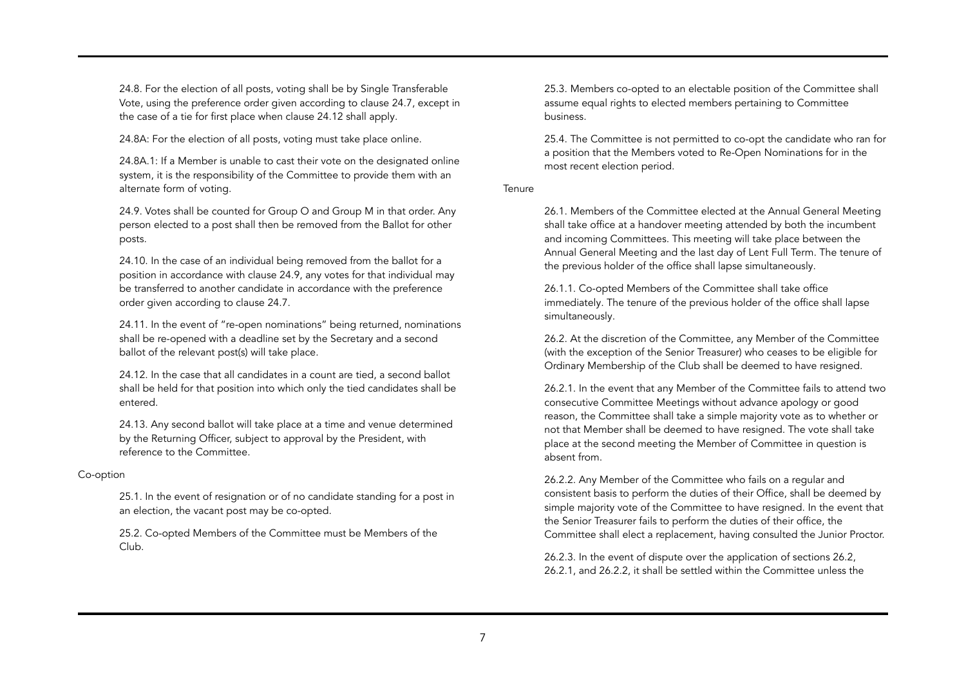24.8. For the election of all posts, voting shall be by Single Transferable Vote, using the preference order given according to clause 24.7, except in the case of a tie for first place when clause 24.12 shall apply.

24.8A: For the election of all posts, voting must take place online.

24.8A.1: If a Member is unable to cast their vote on the designated online system, it is the responsibility of the Committee to provide them with an alternate form of voting.

24.9. Votes shall be counted for Group O and Group M in that order. Any person elected to a post shall then be removed from the Ballot for other posts.

24.10. In the case of an individual being removed from the ballot for a position in accordance with clause 24.9, any votes for that individual may be transferred to another candidate in accordance with the preference order given according to clause 24.7.

24.11. In the event of "re-open nominations" being returned, nominations shall be re-opened with a deadline set by the Secretary and a second ballot of the relevant post(s) will take place.

24.12. In the case that all candidates in a count are tied, a second ballot shall be held for that position into which only the tied candidates shall be entered.

24.13. Any second ballot will take place at a time and venue determined by the Returning Officer, subject to approval by the President, with reference to the Committee.

### Co-option

25.1. In the event of resignation or of no candidate standing for a post in an election, the vacant post may be co-opted.

25.2. Co-opted Members of the Committee must be Members of the Club.

25.3. Members co-opted to an electable position of the Committee shall assume equal rights to elected members pertaining to Committee business.

25.4. The Committee is not permitted to co-opt the candidate who ran for a position that the Members voted to Re-Open Nominations for in the most recent election period.

**Tenure** 

26.1. Members of the Committee elected at the Annual General Meeting shall take office at a handover meeting attended by both the incumbent and incoming Committees. This meeting will take place between the Annual General Meeting and the last day of Lent Full Term. The tenure of the previous holder of the office shall lapse simultaneously.

26.1.1. Co-opted Members of the Committee shall take office immediately. The tenure of the previous holder of the office shall lapse simultaneously.

26.2. At the discretion of the Committee, any Member of the Committee (with the exception of the Senior Treasurer) who ceases to be eligible for Ordinary Membership of the Club shall be deemed to have resigned.

26.2.1. In the event that any Member of the Committee fails to attend two consecutive Committee Meetings without advance apology or good reason, the Committee shall take a simple majority vote as to whether or not that Member shall be deemed to have resigned. The vote shall take place at the second meeting the Member of Committee in question is absent from.

26.2.2. Any Member of the Committee who fails on a regular and consistent basis to perform the duties of their Office, shall be deemed by simple majority vote of the Committee to have resigned. In the event that the Senior Treasurer fails to perform the duties of their office, the Committee shall elect a replacement, having consulted the Junior Proctor.

26.2.3. In the event of dispute over the application of sections 26.2, 26.2.1, and 26.2.2, it shall be settled within the Committee unless the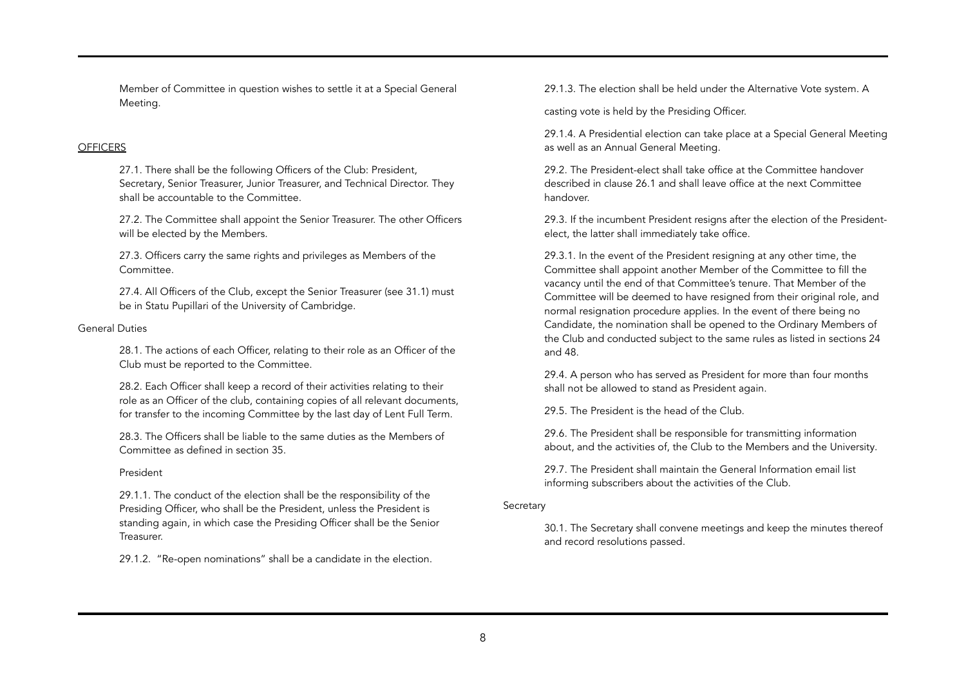Member of Committee in question wishes to settle it at a Special General Meeting.

## **OFFICERS**

27.1. There shall be the following Officers of the Club: President, Secretary, Senior Treasurer, Junior Treasurer, and Technical Director. They shall be accountable to the Committee.

27.2. The Committee shall appoint the Senior Treasurer. The other Officers will be elected by the Members.

27.3. Officers carry the same rights and privileges as Members of the Committee.

27.4. All Officers of the Club, except the Senior Treasurer (see 31.1) must be in Statu Pupillari of the University of Cambridge.

### General Duties

28.1. The actions of each Officer, relating to their role as an Officer of the Club must be reported to the Committee.

28.2. Each Officer shall keep a record of their activities relating to their role as an Officer of the club, containing copies of all relevant documents, for transfer to the incoming Committee by the last day of Lent Full Term.

28.3. The Officers shall be liable to the same duties as the Members of Committee as defined in section 35.

#### President

29.1.1. The conduct of the election shall be the responsibility of the Presiding Officer, who shall be the President, unless the President is standing again, in which case the Presiding Officer shall be the Senior Treasurer.

29.1.2. "Re-open nominations" shall be a candidate in the election.

29.1.3. The election shall be held under the Alternative Vote system. A

casting vote is held by the Presiding Officer.

29.1.4. A Presidential election can take place at a Special General Meeting as well as an Annual General Meeting.

29.2. The President-elect shall take office at the Committee handover described in clause 26.1 and shall leave office at the next Committee handover.

29.3. If the incumbent President resigns after the election of the Presidentelect, the latter shall immediately take office.

29.3.1. In the event of the President resigning at any other time, the Committee shall appoint another Member of the Committee to fill the vacancy until the end of that Committee's tenure. That Member of the Committee will be deemed to have resigned from their original role, and normal resignation procedure applies. In the event of there being no Candidate, the nomination shall be opened to the Ordinary Members of the Club and conducted subject to the same rules as listed in sections 24 and 48.

29.4. A person who has served as President for more than four months shall not be allowed to stand as President again.

29.5. The President is the head of the Club.

29.6. The President shall be responsible for transmitting information about, and the activities of, the Club to the Members and the University.

29.7. The President shall maintain the General Information email list informing subscribers about the activities of the Club.

#### Secretary

30.1. The Secretary shall convene meetings and keep the minutes thereof and record resolutions passed.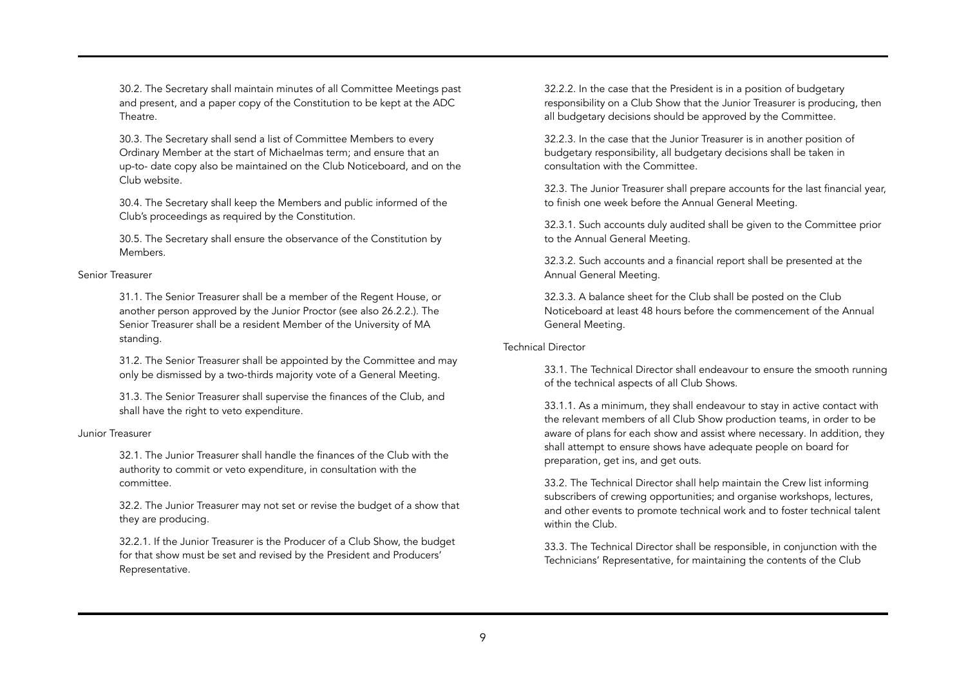30.2. The Secretary shall maintain minutes of all Committee Meetings past and present, and a paper copy of the Constitution to be kept at the ADC Theatre.

30.3. The Secretary shall send a list of Committee Members to every Ordinary Member at the start of Michaelmas term; and ensure that an up-to- date copy also be maintained on the Club Noticeboard, and on the Club website.

30.4. The Secretary shall keep the Members and public informed of the Club's proceedings as required by the Constitution.

30.5. The Secretary shall ensure the observance of the Constitution by Members.

### Senior Treasurer

31.1. The Senior Treasurer shall be a member of the Regent House, or another person approved by the Junior Proctor (see also 26.2.2.). The Senior Treasurer shall be a resident Member of the University of MA standing.

31.2. The Senior Treasurer shall be appointed by the Committee and may only be dismissed by a two-thirds majority vote of a General Meeting.

31.3. The Senior Treasurer shall supervise the finances of the Club, and shall have the right to veto expenditure.

### Junior Treasurer

32.1. The Junior Treasurer shall handle the finances of the Club with the authority to commit or veto expenditure, in consultation with the committee.

32.2. The Junior Treasurer may not set or revise the budget of a show that they are producing.

32.2.1. If the Junior Treasurer is the Producer of a Club Show, the budget for that show must be set and revised by the President and Producers' Representative.

32.2.2. In the case that the President is in a position of budgetary responsibility on a Club Show that the Junior Treasurer is producing, then all budgetary decisions should be approved by the Committee.

32.2.3. In the case that the Junior Treasurer is in another position of budgetary responsibility, all budgetary decisions shall be taken in consultation with the Committee.

32.3. The Junior Treasurer shall prepare accounts for the last financial year, to finish one week before the Annual General Meeting.

32.3.1. Such accounts duly audited shall be given to the Committee prior to the Annual General Meeting.

32.3.2. Such accounts and a financial report shall be presented at the Annual General Meeting.

32.3.3. A balance sheet for the Club shall be posted on the Club Noticeboard at least 48 hours before the commencement of the Annual General Meeting.

### Technical Director

33.1. The Technical Director shall endeavour to ensure the smooth running of the technical aspects of all Club Shows.

33.1.1. As a minimum, they shall endeavour to stay in active contact with the relevant members of all Club Show production teams, in order to be aware of plans for each show and assist where necessary. In addition, they shall attempt to ensure shows have adequate people on board for preparation, get ins, and get outs.

33.2. The Technical Director shall help maintain the Crew list informing subscribers of crewing opportunities; and organise workshops, lectures, and other events to promote technical work and to foster technical talent within the Club.

33.3. The Technical Director shall be responsible, in conjunction with the Technicians' Representative, for maintaining the contents of the Club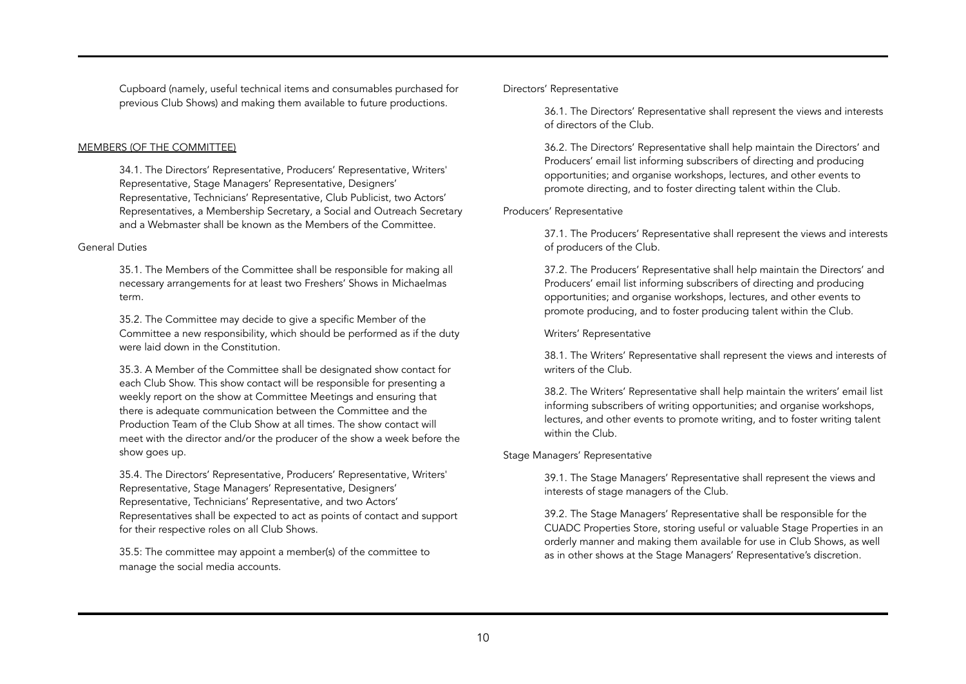Cupboard (namely, useful technical items and consumables purchased for previous Club Shows) and making them available to future productions.

### MEMBERS (OF THE COMMITTEE)

34.1. The Directors' Representative, Producers' Representative, Writers' Representative, Stage Managers' Representative, Designers' Representative, Technicians' Representative, Club Publicist, two Actors' Representatives, a Membership Secretary, a Social and Outreach Secretary and a Webmaster shall be known as the Members of the Committee.

### General Duties

35.1. The Members of the Committee shall be responsible for making all necessary arrangements for at least two Freshers' Shows in Michaelmas term.

35.2. The Committee may decide to give a specific Member of the Committee a new responsibility, which should be performed as if the duty were laid down in the Constitution.

35.3. A Member of the Committee shall be designated show contact for each Club Show. This show contact will be responsible for presenting a weekly report on the show at Committee Meetings and ensuring that there is adequate communication between the Committee and the Production Team of the Club Show at all times. The show contact will meet with the director and/or the producer of the show a week before the show goes up.

35.4. The Directors' Representative, Producers' Representative, Writers' Representative, Stage Managers' Representative, Designers' Representative, Technicians' Representative, and two Actors' Representatives shall be expected to act as points of contact and support for their respective roles on all Club Shows.

35.5: The committee may appoint a member(s) of the committee to manage the social media accounts.

## Directors' Representative

36.1. The Directors' Representative shall represent the views and interests of directors of the Club.

36.2. The Directors' Representative shall help maintain the Directors' and Producers' email list informing subscribers of directing and producing opportunities; and organise workshops, lectures, and other events to promote directing, and to foster directing talent within the Club.

## Producers' Representative

37.1. The Producers' Representative shall represent the views and interests of producers of the Club.

37.2. The Producers' Representative shall help maintain the Directors' and Producers' email list informing subscribers of directing and producing opportunities; and organise workshops, lectures, and other events to promote producing, and to foster producing talent within the Club.

Writers' Representative

38.1. The Writers' Representative shall represent the views and interests of writers of the Club.

38.2. The Writers' Representative shall help maintain the writers' email list informing subscribers of writing opportunities; and organise workshops, lectures, and other events to promote writing, and to foster writing talent within the Club.

## Stage Managers' Representative

39.1. The Stage Managers' Representative shall represent the views and interests of stage managers of the Club.

39.2. The Stage Managers' Representative shall be responsible for the CUADC Properties Store, storing useful or valuable Stage Properties in an orderly manner and making them available for use in Club Shows, as well as in other shows at the Stage Managers' Representative's discretion.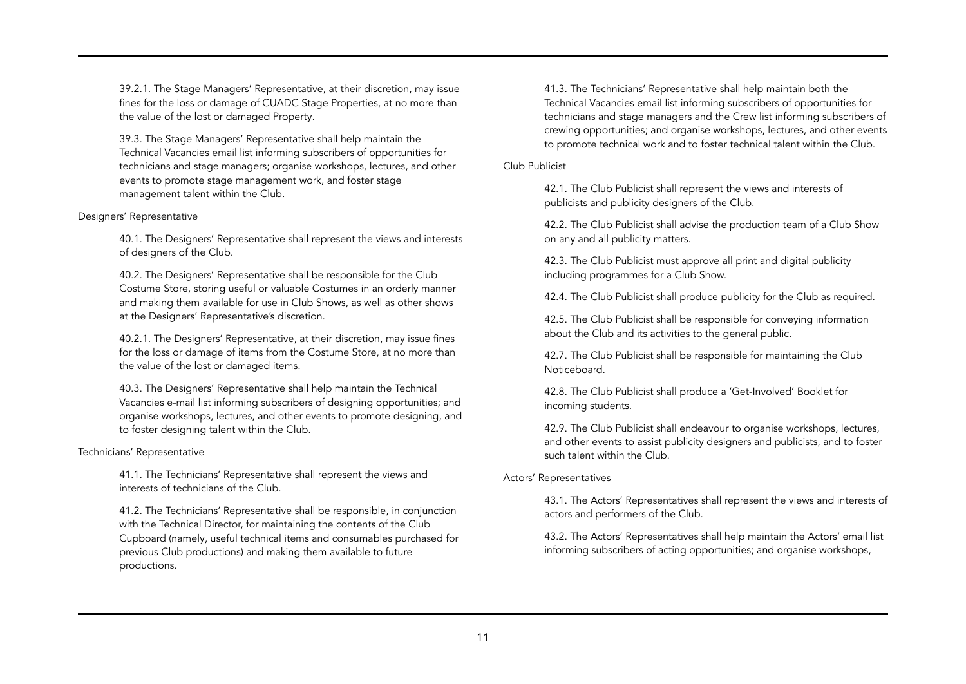39.2.1. The Stage Managers' Representative, at their discretion, may issue fines for the loss or damage of CUADC Stage Properties, at no more than the value of the lost or damaged Property.

39.3. The Stage Managers' Representative shall help maintain the Technical Vacancies email list informing subscribers of opportunities for technicians and stage managers; organise workshops, lectures, and other events to promote stage management work, and foster stage management talent within the Club.

### Designers' Representative

40.1. The Designers' Representative shall represent the views and interests of designers of the Club.

40.2. The Designers' Representative shall be responsible for the Club Costume Store, storing useful or valuable Costumes in an orderly manner and making them available for use in Club Shows, as well as other shows at the Designers' Representative's discretion.

40.2.1. The Designers' Representative, at their discretion, may issue fines for the loss or damage of items from the Costume Store, at no more than the value of the lost or damaged items.

40.3. The Designers' Representative shall help maintain the Technical Vacancies e-mail list informing subscribers of designing opportunities; and organise workshops, lectures, and other events to promote designing, and to foster designing talent within the Club.

### Technicians' Representative

41.1. The Technicians' Representative shall represent the views and interests of technicians of the Club.

41.2. The Technicians' Representative shall be responsible, in conjunction with the Technical Director, for maintaining the contents of the Club Cupboard (namely, useful technical items and consumables purchased for previous Club productions) and making them available to future productions.

41.3. The Technicians' Representative shall help maintain both the Technical Vacancies email list informing subscribers of opportunities for technicians and stage managers and the Crew list informing subscribers of crewing opportunities; and organise workshops, lectures, and other events to promote technical work and to foster technical talent within the Club.

## Club Publicist

42.1. The Club Publicist shall represent the views and interests of publicists and publicity designers of the Club.

42.2. The Club Publicist shall advise the production team of a Club Show on any and all publicity matters.

42.3. The Club Publicist must approve all print and digital publicity including programmes for a Club Show.

42.4. The Club Publicist shall produce publicity for the Club as required.

42.5. The Club Publicist shall be responsible for conveying information about the Club and its activities to the general public.

42.7. The Club Publicist shall be responsible for maintaining the Club Noticeboard.

42.8. The Club Publicist shall produce a 'Get-Involved' Booklet for incoming students.

42.9. The Club Publicist shall endeavour to organise workshops, lectures, and other events to assist publicity designers and publicists, and to foster such talent within the Club.

## Actors' Representatives

43.1. The Actors' Representatives shall represent the views and interests of actors and performers of the Club.

43.2. The Actors' Representatives shall help maintain the Actors' email list informing subscribers of acting opportunities; and organise workshops,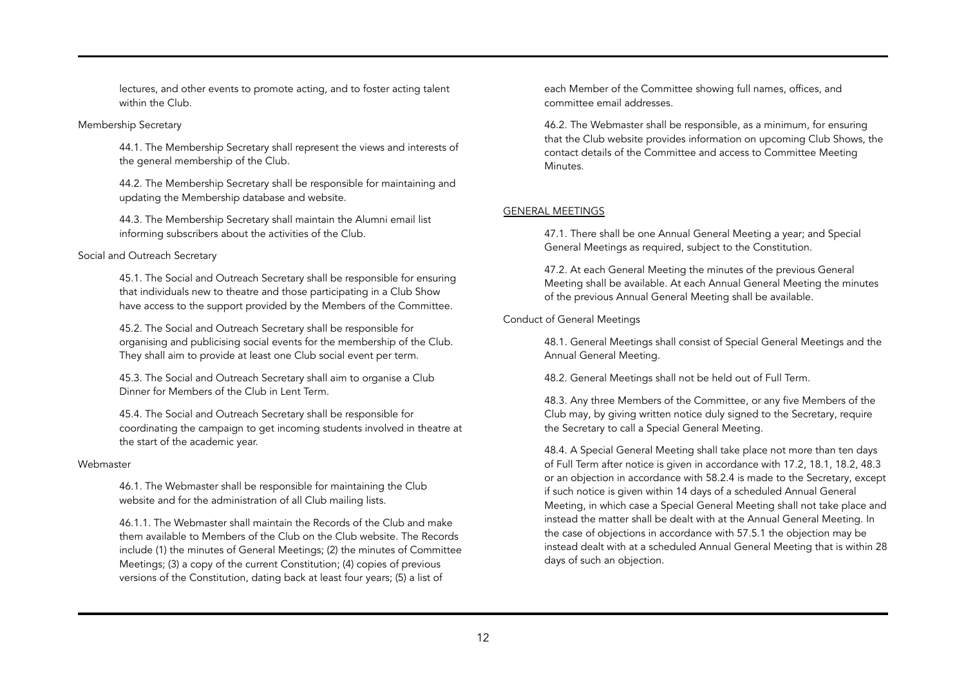lectures, and other events to promote acting, and to foster acting talent within the Club.

## Membership Secretary

44.1. The Membership Secretary shall represent the views and interests of the general membership of the Club.

44.2. The Membership Secretary shall be responsible for maintaining and updating the Membership database and website.

44.3. The Membership Secretary shall maintain the Alumni email list informing subscribers about the activities of the Club.

## Social and Outreach Secretary

45.1. The Social and Outreach Secretary shall be responsible for ensuring that individuals new to theatre and those participating in a Club Show have access to the support provided by the Members of the Committee.

45.2. The Social and Outreach Secretary shall be responsible for organising and publicising social events for the membership of the Club. They shall aim to provide at least one Club social event per term.

45.3. The Social and Outreach Secretary shall aim to organise a Club Dinner for Members of the Club in Lent Term.

45.4. The Social and Outreach Secretary shall be responsible for coordinating the campaign to get incoming students involved in theatre at the start of the academic year.

## Webmaster

46.1. The Webmaster shall be responsible for maintaining the Club website and for the administration of all Club mailing lists.

46.1.1. The Webmaster shall maintain the Records of the Club and make them available to Members of the Club on the Club website. The Records include (1) the minutes of General Meetings; (2) the minutes of Committee Meetings; (3) a copy of the current Constitution; (4) copies of previous versions of the Constitution, dating back at least four years; (5) a list of

each Member of the Committee showing full names, offices, and committee email addresses.

46.2. The Webmaster shall be responsible, as a minimum, for ensuring that the Club website provides information on upcoming Club Shows, the contact details of the Committee and access to Committee Meeting Minutes.

# GENERAL MEETINGS

47.1. There shall be one Annual General Meeting a year; and Special General Meetings as required, subject to the Constitution.

47.2. At each General Meeting the minutes of the previous General Meeting shall be available. At each Annual General Meeting the minutes of the previous Annual General Meeting shall be available.

# Conduct of General Meetings

48.1. General Meetings shall consist of Special General Meetings and the Annual General Meeting.

48.2. General Meetings shall not be held out of Full Term.

48.3. Any three Members of the Committee, or any five Members of the Club may, by giving written notice duly signed to the Secretary, require the Secretary to call a Special General Meeting.

48.4. A Special General Meeting shall take place not more than ten days of Full Term after notice is given in accordance with 17.2, 18.1, 18.2, 48.3 or an objection in accordance with 58.2.4 is made to the Secretary, except if such notice is given within 14 days of a scheduled Annual General Meeting, in which case a Special General Meeting shall not take place and instead the matter shall be dealt with at the Annual General Meeting. In the case of objections in accordance with 57.5.1 the objection may be instead dealt with at a scheduled Annual General Meeting that is within 28 days of such an objection.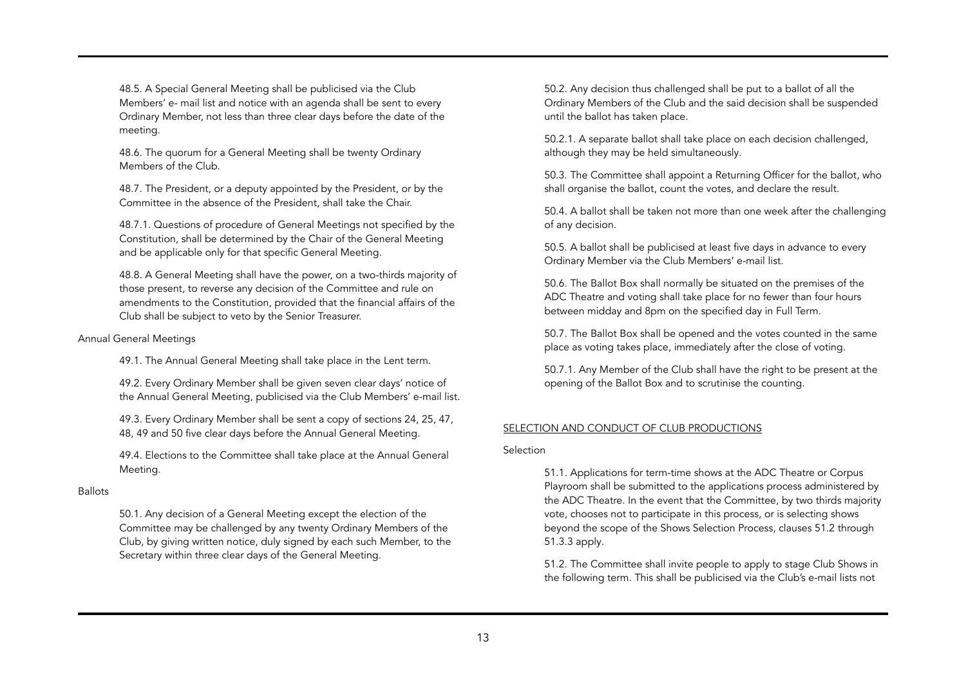48.5. A Special General Meeting shall be publicised via the Club Members' e- mail list and notice with an agenda shall be sent to every Ordinary Member, not less than three clear days before the date of the meeting.

48.6. The quorum for a General Meeting shall be twenty Ordinary Members of the Club.

48.7. The President, or a deputy appointed by the President, or by the Committee in the absence of the President, shall take the Chair.

48.7.1. Questions of procedure of General Meetings not specified by the Constitution, shall be determined by the Chair of the General Meeting and be applicable only for that specific General Meeting.

48.8. A General Meeting shall have the power, on a two-thirds majority of those present, to reverse any decision of the Committee and rule on amendments to the Constitution, provided that the financial affairs of the Club shall be subject to veto by the Senior Treasurer.

## Annual General Meetings

49.1. The Annual General Meeting shall take place in the Lent term.

49.2. Every Ordinary Member shall be given seven clear days' notice of the Annual General Meeting, publicised via the Club Members' e-mail list.

49.3. Every Ordinary Member shall be sent a copy of sections 24, 25, 47, 48, 49 and 50 five clear days before the Annual General Meeting.

49.4. Elections to the Committee shall take place at the Annual General Meeting.

### **Ballots**

50.1. Any decision of a General Meeting except the election of the Committee may be challenged by any twenty Ordinary Members of the Club, by giving written notice, duly signed by each such Member, to the Secretary within three clear days of the General Meeting.

50.2. Any decision thus challenged shall be put to a ballot of all the Ordinary Members of the Club and the said decision shall be suspended until the ballot has taken place.

50.2.1. A separate ballot shall take place on each decision challenged, although they may be held simultaneously.

50.3. The Committee shall appoint a Returning Officer for the ballot, who shall organise the ballot, count the votes, and declare the result.

50.4. A ballot shall be taken not more than one week after the challenging of any decision.

50.5. A ballot shall be publicised at least five days in advance to every Ordinary Member via the Club Members' e-mail list.

50.6. The Ballot Box shall normally be situated on the premises of the ADC Theatre and voting shall take place for no fewer than four hours between midday and 8pm on the specified day in Full Term.

50.7. The Ballot Box shall be opened and the votes counted in the same place as voting takes place, immediately after the close of voting.

50.7.1. Any Member of the Club shall have the right to be present at the opening of the Ballot Box and to scrutinise the counting.

### SELECTION AND CONDUCT OF CLUB PRODUCTIONS

Selection

51.1. Applications for term-time shows at the ADC Theatre or Corpus Playroom shall be submitted to the applications process administered by the ADC Theatre. In the event that the Committee, by two thirds majority vote, chooses not to participate in this process, or is selecting shows beyond the scope of the Shows Selection Process, clauses 51.2 through 51.3.3 apply.

51.2. The Committee shall invite people to apply to stage Club Shows in the following term. This shall be publicised via the Club's e-mail lists not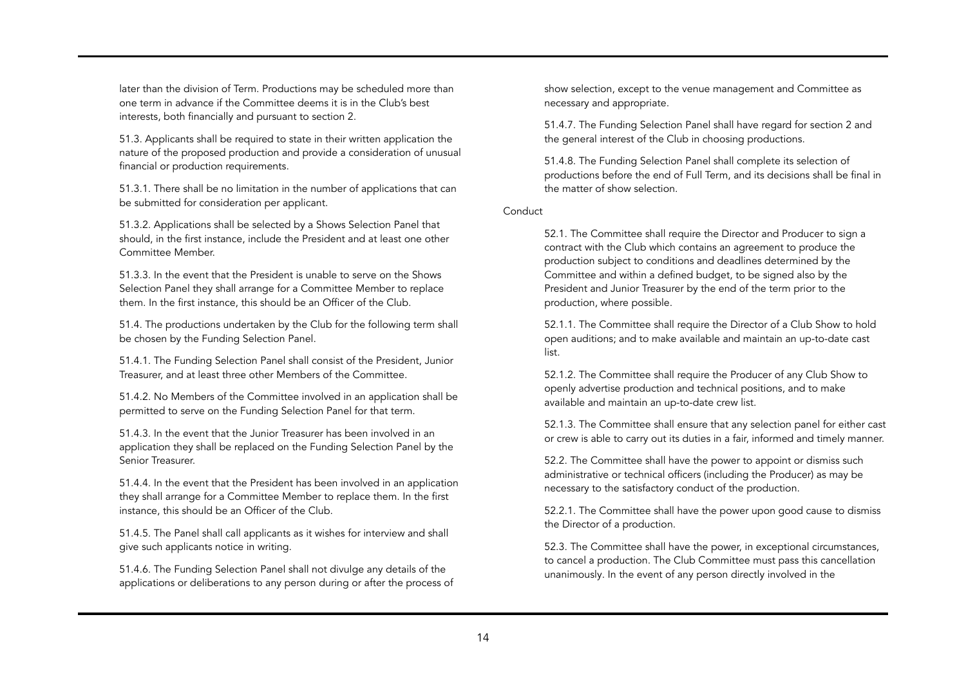later than the division of Term. Productions may be scheduled more than one term in advance if the Committee deems it is in the Club's best interests, both financially and pursuant to section 2.

51.3. Applicants shall be required to state in their written application the nature of the proposed production and provide a consideration of unusual financial or production requirements.

51.3.1. There shall be no limitation in the number of applications that can be submitted for consideration per applicant.

51.3.2. Applications shall be selected by a Shows Selection Panel that should, in the first instance, include the President and at least one other Committee Member.

51.3.3. In the event that the President is unable to serve on the Shows Selection Panel they shall arrange for a Committee Member to replace them. In the first instance, this should be an Officer of the Club.

51.4. The productions undertaken by the Club for the following term shall be chosen by the Funding Selection Panel.

51.4.1. The Funding Selection Panel shall consist of the President, Junior Treasurer, and at least three other Members of the Committee.

51.4.2. No Members of the Committee involved in an application shall be permitted to serve on the Funding Selection Panel for that term.

51.4.3. In the event that the Junior Treasurer has been involved in an application they shall be replaced on the Funding Selection Panel by the Senior Treasurer.

51.4.4. In the event that the President has been involved in an application they shall arrange for a Committee Member to replace them. In the first instance, this should be an Officer of the Club.

51.4.5. The Panel shall call applicants as it wishes for interview and shall give such applicants notice in writing.

51.4.6. The Funding Selection Panel shall not divulge any details of the applications or deliberations to any person during or after the process of show selection, except to the venue management and Committee as necessary and appropriate.

51.4.7. The Funding Selection Panel shall have regard for section 2 and the general interest of the Club in choosing productions.

51.4.8. The Funding Selection Panel shall complete its selection of productions before the end of Full Term, and its decisions shall be final in the matter of show selection.

**Conduct** 

52.1. The Committee shall require the Director and Producer to sign a contract with the Club which contains an agreement to produce the production subject to conditions and deadlines determined by the Committee and within a defined budget, to be signed also by the President and Junior Treasurer by the end of the term prior to the production, where possible.

52.1.1. The Committee shall require the Director of a Club Show to hold open auditions; and to make available and maintain an up-to-date cast list.

52.1.2. The Committee shall require the Producer of any Club Show to openly advertise production and technical positions, and to make available and maintain an up-to-date crew list.

52.1.3. The Committee shall ensure that any selection panel for either cast or crew is able to carry out its duties in a fair, informed and timely manner.

52.2. The Committee shall have the power to appoint or dismiss such administrative or technical officers (including the Producer) as may be necessary to the satisfactory conduct of the production.

52.2.1. The Committee shall have the power upon good cause to dismiss the Director of a production.

52.3. The Committee shall have the power, in exceptional circumstances, to cancel a production. The Club Committee must pass this cancellation unanimously. In the event of any person directly involved in the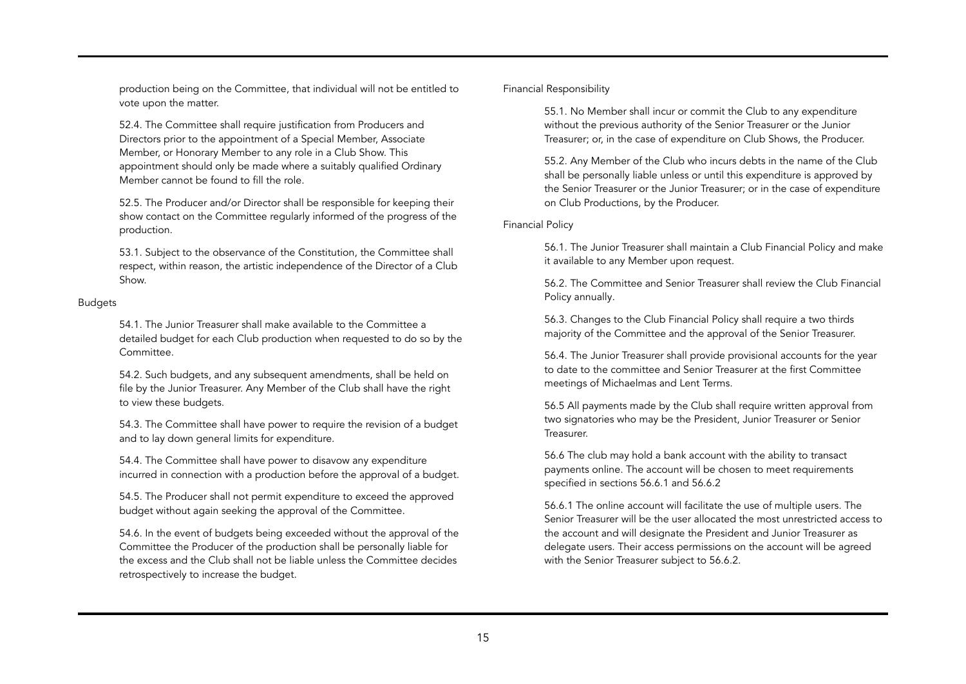production being on the Committee, that individual will not be entitled to vote upon the matter.

52.4. The Committee shall require justification from Producers and Directors prior to the appointment of a Special Member, Associate Member, or Honorary Member to any role in a Club Show. This appointment should only be made where a suitably qualified Ordinary Member cannot be found to fill the role.

52.5. The Producer and/or Director shall be responsible for keeping their show contact on the Committee regularly informed of the progress of the production.

53.1. Subject to the observance of the Constitution, the Committee shall respect, within reason, the artistic independence of the Director of a Club Show.

### Budgets

54.1. The Junior Treasurer shall make available to the Committee a detailed budget for each Club production when requested to do so by the Committee.

54.2. Such budgets, and any subsequent amendments, shall be held on file by the Junior Treasurer. Any Member of the Club shall have the right to view these budgets.

54.3. The Committee shall have power to require the revision of a budget and to lay down general limits for expenditure.

54.4. The Committee shall have power to disavow any expenditure incurred in connection with a production before the approval of a budget.

54.5. The Producer shall not permit expenditure to exceed the approved budget without again seeking the approval of the Committee.

54.6. In the event of budgets being exceeded without the approval of the Committee the Producer of the production shall be personally liable for the excess and the Club shall not be liable unless the Committee decides retrospectively to increase the budget.

## Financial Responsibility

55.1. No Member shall incur or commit the Club to any expenditure without the previous authority of the Senior Treasurer or the Junior Treasurer; or, in the case of expenditure on Club Shows, the Producer.

55.2. Any Member of the Club who incurs debts in the name of the Club shall be personally liable unless or until this expenditure is approved by the Senior Treasurer or the Junior Treasurer; or in the case of expenditure on Club Productions, by the Producer.

### Financial Policy

56.1. The Junior Treasurer shall maintain a Club Financial Policy and make it available to any Member upon request.

56.2. The Committee and Senior Treasurer shall review the Club Financial Policy annually.

56.3. Changes to the Club Financial Policy shall require a two thirds majority of the Committee and the approval of the Senior Treasurer.

56.4. The Junior Treasurer shall provide provisional accounts for the year to date to the committee and Senior Treasurer at the first Committee meetings of Michaelmas and Lent Terms.

56.5 All payments made by the Club shall require written approval from two signatories who may be the President, Junior Treasurer or Senior Treasurer.

56.6 The club may hold a bank account with the ability to transact payments online. The account will be chosen to meet requirements specified in sections 56.6.1 and 56.6.2

56.6.1 The online account will facilitate the use of multiple users. The Senior Treasurer will be the user allocated the most unrestricted access to the account and will designate the President and Junior Treasurer as delegate users. Their access permissions on the account will be agreed with the Senior Treasurer subject to 56.6.2.